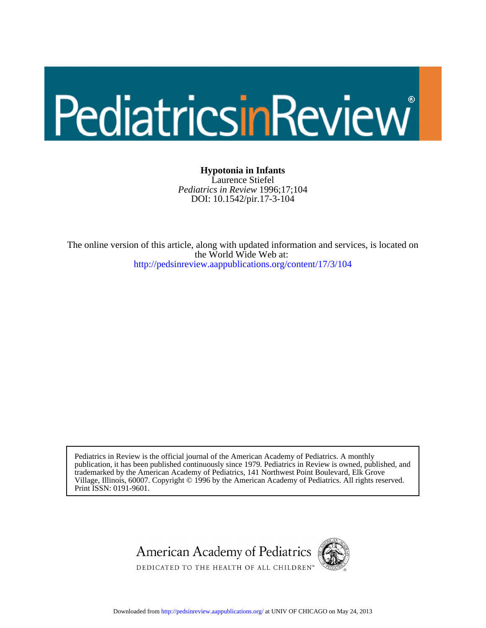# PediatricsinReview

DOI: 10.1542/pir.17-3-104 *Pediatrics in Review* 1996;17;104 Laurence Stiefel **Hypotonia in Infants**

<http://pedsinreview.aappublications.org/content/17/3/104> the World Wide Web at: The online version of this article, along with updated information and services, is located on

Print ISSN: 0191-9601. Village, Illinois, 60007. Copyright © 1996 by the American Academy of Pediatrics. All rights reserved. trademarked by the American Academy of Pediatrics, 141 Northwest Point Boulevard, Elk Grove publication, it has been published continuously since 1979. Pediatrics in Review is owned, published, and Pediatrics in Review is the official journal of the American Academy of Pediatrics. A monthly





DEDICATED TO THE HEALTH OF ALL CHILDREN™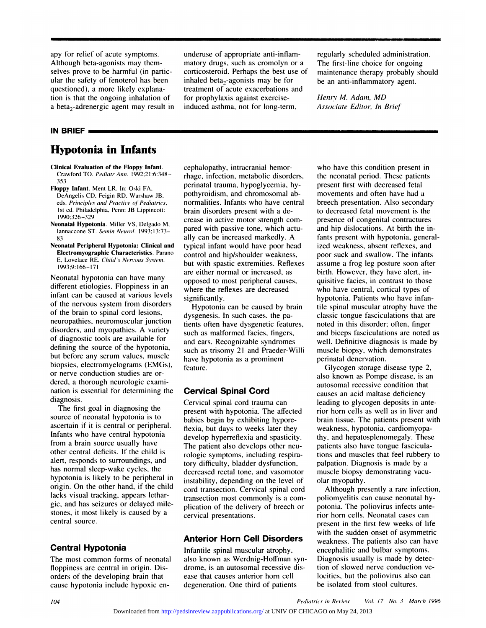apy for relief of acute symptoms.<br>Although beta-agonists may themapy for relief of acute symptoms<br>Although beta-agonists may then<br>selves prove to be harmful (in pa selves prove to acute symptoms.<br>Although beta-agonists may them-<br>selves prove to be harmful (in particular the safety of fenoterol has bee apy for relief of acute symptoms.<br>Although beta-agonists may them-<br>selves prove to be harmful (in partic-<br>ular the safety of fenoterol has been<br>questioned), a more likely explanaapy for relief of acute symptoms<br>Although beta-agonists may the<br>selves prove to be harmful (in p<br>ular the safety of fenoterol has b<br>questioned), a more likely expla<br>tion is that the ongoing inhalatic Although beta-agonists may them-<br>selves prove to be harmful (in partic-<br>ular the safety of fenoterol has been<br>questioned), a more likely explana-<br>tion is that the ongoing inhalation of<br>a beta<sub>2</sub>-adrenergic agent may result selves prove to be harmful (in partic-<br>ular the safety of fenoterol has been inha<br>questioned), a more likely explana-<br>trea<br>tion is that the ongoing inhalation of for<br>a beta<sub>2</sub>-adrenergic agent may result in indu questioned), a moition is that the ong<br>a beta<sub>2</sub>-adrenergic<br>**IN BRIEF** Find is that the ongoing inhalation of<br>a beta<sub>2</sub>-adrenergic agent may result in<br>**Hypotonia in Infants**<br>**Hypotonia in Infants** 

# underuse of appropriate anti-inflamunderuse of appropriate anti-inflam-<br>matory drugs, such as cromolyn or a Theoricosteroid. Perhaps the best use of m underuse of appropriate anti-inflam-<br>matory drugs, such as cromolyn or a The fi<br>corticosteroid. Perhaps the best use of maint<br>inhaled beta<sub>2</sub>-agonists may be for be an underuse of appropriate anti-inflam-<br>matory drugs, such as cromolyn or a<br>corticosteroid. Perhaps the best use of<br>inhaled beta<sub>2</sub>-agonists may be for<br>treatment of acute exacerbations and underuse of appropriate anti-inflam-<br>matory drugs, such as cromolyn or a<br>corticosteroid. Perhaps the best use of<br>inhaled beta<sub>2</sub>-agonists may be for<br>treatment of acute exacerbations and<br>for prophylaxis against exercise-<br>H inhaled beta<sub>2</sub>-agonists may be for<br>treatment of acute exacerbations ar<br>for prophylaxis against exercise-<br>induced asthma, not for long-term, corticosteroid. Perhaps the best use<br>inhaled beta<sub>2</sub>-agonists may be for<br>treatment of acute exacerbations ar<br>for prophylaxis against exercise-<br>induced asthma, not for long-term,

regularly scheduled administration.<br>The first-line choice for ongoing The first-line choice for ongoing<br>The first-line choice for ongoing<br>maintenance therapy probably should maintenance therapy probably<br>maintenance therapy probably should<br>be an anti-inflammatory agent. regularly scheduled administration.<br>The first-line choice for ongoing<br>maintenance therapy probably should<br>be an anti-inflammatory agent. *Henry Henry Henry M. Adam, MD*<br>*Henry M. Adam, MD*<br>*Associate Editor, In Brief* 

*Associate Editor, In Briefing M. Adam, MD*<br>*Associate Editor, In Brief* 

- **Clinical Evaluation of the Floppy Infant.**<br>Crawford TO. *Pediatr Ann.* 1992:21:6:348–<br>353<br>**Floppy Infant**. Ment LR. In: Oski FA,<br>DeAngelis CD, Feigin RD, Warshaw JB,<br>eds. *Principles and Practice of Pediatrics*,
- DeAngelis CD, Feigin RD. Warshaw JB. 1st ed. Philadelphia, Penn: JB Lippincott;<br>1990:326-329 1st Edenture Mannet LR. In: Oski FA, Penn: JB Lippincott: I penn: JB Lippincott: I 990:326-329<br>
1990:326-329<br> **Penn: JB Lippincott:** In: 1990:326-329<br> **Penn: I B Lippincott:** I 990:326-329<br> **Neonatal Hypotonia.** Miller VS.
- 
- **Electromyographic Characteristics. Paramo E. Lovelace ST. Semin Neurol. 1993:13:73-83**<br> **Electromyographic Characteristics. Parano E. Lovelace RE. Child's Nervous System.** 1993:9:166-171 Neonatal hypotonia can have many d

**Electromyographic Characteristics**. Parano<br>
E. Lovelace RE. Child's Nervous System.<br>
1993;9:166-171<br>
Neonatal hypotonia can have many are<br>
different etiologies. Floppiness in an<br>
infant can be caused at various levels E. Lovelace RE. Child's Nervous System.<br>1993:9:166-171<br>Neonatal hypotonia can have many<br>different etiologies. Floppiness in an<br>infant can be caused at various levels<br>of the nervous system from disorders 1993;9:166-171<br>Neonatal hypotonia can have many<br>different etiologies. Floppiness in an<br>infant can be caused at various levels<br>of the nervous system from disorders<br>of the brain to spinal cord lesions, Neonatal hypotonia can have many<br>different etiologies. Floppiness in a<br>infant can be caused at various leve<br>of the nervous system from disorde<br>of the brain to spinal cord lesions,<br>neuropathies, neuromuscular junctic different etiologies. Floppiness in an<br>infant can be caused at various levels<br>of the nervous system from disorders<br>of the brain to spinal cord lesions,<br>neuropathies, neuromuscular junction<br>disorders, and myopathies. A vari infant can be caused at various levels<br>of the nervous system from disorders<br>of the brain to spinal cord lesions,<br>neuropathies, neuromuscular junction<br>disorders, and myopathies. A variety<br>of diagnostic tools are available of the nervous system from disorders<br>of the brain to spinal cord lesions,<br>neuropathies, neuromuscular junction<br>disorders, and myopathies. A variety<br>of diagnostic tools are available for<br>defining the source of the hypotonia of the brain to spinal cord lesions,<br>neuropathies, neuromuscular junctior<br>disorders, and myopathies. A variety<br>of diagnostic tools are available for<br>defining the source of the hypotonia,<br>but before any serum values, muscle neuropathies, neuromuscular junction<br>disorders, and myopathies. A variety<br>of diagnostic tools are available for<br>defining the source of the hypotonia,<br>but before any serum values, muscle<br>biopsies, electromyelograms (EMGs), disorders, and myopathies. A variety<br>of diagnostic tools are available for<br>defining the source of the hypotonia,<br>but before any serum values, muscle<br>biopsies, electromyelograms (EMGs),<br>or nerve conduction studies are orof diagnostic tools are available for<br>defining the source of the hypotonia<br>but before any serum values, muscle<br>biopsies, electromyelograms (EMGs<br>or nerve conduction studies are or-<br>dered, a thorough neurologic examidefining the source of the hypotor<br>but before any serum values, mus<br>biopsies, electromyelograms (EMI<br>or nerve conduction studies are or<br>dered, a thorough neurologic exan<br>nation is essential for determining but before any serum values, muscle<br>biopsies, electromyelograms (EMGs),<br>or nerve conduction studies are or-<br>dered, a thorough neurologic exami-<br>nation is essential for determining the<br>diagnosis. diagnosis. nerve conduction studies are or-<br>red, a thorough neurologic exami-<br>tion is essential for determining the<br>gnosis.<br>The first goal in diagnosing the<br>urce of neonatal hypotonia is to

nation is essential for determining the<br>diagnosis.<br>The first goal in diagnosing the<br>source of neonatal hypotonia is to<br>ascertain if it is central or peripheral.<br>Infants who have central hypotonia diagnosis.<br>The first goal in diagnosing the<br>source of neonatal hypotonia is to<br>ascertain if it is central or peripheral.<br>Infants who have central hypotonia<br>from a brain source usually have The first goal in diagnosing the<br>source of neonatal hypotonia is to<br>ascertain if it is central or peripheral.<br>Infants who have central hypotonia<br>from a brain source usually have<br>other central deficits. If the child is source of neonatal hypotonia is to<br>ascertain if it is central or peripheral.<br>Infants who have central hypotonia<br>from a brain source usually have<br>other central deficits. If the child is<br>alert, responds to surroundings, and ascertain if it is central or peripheral.<br>
Infants who have central hypotonia<br>
from a brain source usually have<br>
other central deficits. If the child is<br>
alert, responds to surroundings, and<br>
has normal sleep-wake cycles, Infants who have central hypotonia<br>from a brain source usually have<br>other central deficits. If the child is<br>alert, responds to surroundings, and<br>has normal sleep-wake cycles, the<br>hypotonia is likely to be peripheral in from a brain source usually have<br>other central deficits. If the child is<br>alert, responds to surroundings, and<br>has normal sleep-wake cycles, the<br>hypotonia is likely to be peripheral in<br>origin. On the other hand, if the chil orher central deficits. If the child is<br>alert, responds to surroundings, and<br>has normal sleep-wake cycles, the<br>hypotonia is likely to be peripheral in<br>origin. On the other hand, if the child<br>lacks visual tracking, appears alert, responds to surroundings, an<br>has normal sleep-wake cycles, the<br>hypotonia is likely to be periphera<br>origin. On the other hand, if the cl<br>lacks visual tracking, appears letha<br>gic, and has seizures or delayed m has normal sleep-wake cycles, the<br>hypotonia is likely to be peripheral is<br>origin. On the other hand, if the chila<br>lacks visual tracking, appears lethar-<br>gic, and has seizures or delayed mile<br>stones, it most likely is cause origin. On the other hand, if the child<br>lacks visual tracking, appears lethar-<br>gic, and has seizures or delayed mile-<br>stones, it most likely is caused by a<br>central source.<br>central source. lacks visual tracking, appears letharstones, it most likely is caused by a central source.<br>**Central Hypotonia** 

orders of the developing brain that ease that causes anterior horn cell locities, but the poliovirus also can<br>cause hypotonia include hypoxic en-<br>*104 Pediatrics in Review Vol. 17 No. 3 March 1996*<br>Downloaded from http The most common forms of neonatal floppiness are central in origin. Disorders of the developing brain that **Central Hypotonia**<br>The most common forms of neonatal<br>floppiness are central in origin. Dis-<br>orders of the developing brain that<br>cause hypotonia include hypoxic en-**Central Hypotonia**<br>The most common forms of neonatal<br>floppiness are central in origin. Dis-<br>orders of the developing brain that<br>cause hypotonia include hypoxic en-

cephalopathy, intracranial hemor-<br>
rhage, infection, metabolic disc cephalopathy, intracranial hemor-<br>rhage, infection, metabolic disorders,<br>perinatal trauma, hypoglycemia, hycephalopathy, intracranial hemor-<br>rhage, infection, metabolic disorders,<br>perinatal trauma, hypoglycemia, hy-<br>pothyroidism, and chromosomal abcephalopathy, intracranial hemor-<br>rhage, infection, metabolic disorders,<br>perinatal trauma, hypoglycemia, hy-<br>pothyroidism, and chromosomal ab-<br>normalities. Infants who have central rephalopality, infactamal hemot-<br>rhage, infection, metabolic disorders,<br>perinatal trauma, hypoglycemia, hy-<br>pothyroidism, and chromosomal ab-<br>normalities. Infants who have central<br>brain disorders present with a de-<br>crease perinatal trauma, hypoglycemia, hypothyroidism, and chromosomal ab-<br>normalities. Infants who have centra<br>brain disorders present with a de-<br>crease in active motor strength com<br>pared with passive tone, which actu normalities. Infants who have central<br>brain disorders present with a de-<br>crease in active motor strength com-<br>pared with passive tone, which actu-<br>ally can be increased markedly. A normalities. Infants who have central<br>brain disorders present with a de-<br>crease in active motor strength com-<br>pared with passive tone, which actu-<br>and and and and and typical infant would have poor head<br>ized brain disorders present with a de-<br>crease in active motor strength com-<br>pared with passive tone, which actu-<br>ally can be increased markedly. A<br>typical infant would have poor head<br>control and hip/shoulder weakness, crease in active motor strength com<br>pared with passive tone, which actually can be increased markedly. A<br>typical infant would have poor head<br>control and hip/shoulder weakness,<br>but with spastic extremities. Reflex pared with passive tone, which actually can be increased markedly. A<br>typical infant would have poor head<br>control and hip/shoulder weakness,<br>but with spastic extremities. Reflexes<br>are either normal or increased, as ally can be increased markedly. A<br>typical infant would have poor head<br>control and hip/shoulder weakness,<br>but with spastic extremities. Reflexes<br>are either normal or increased, as<br>opposed to most peripheral causes, typical infant would have poor head<br>control and hip/shoulder weakness,<br>but with spastic extremities. Reflexe<br>are either normal or increased, as<br>opposed to most peripheral causes,<br>where the reflexes are decreased control and hip/shoulder weakness,<br>but with spastic extremities. Reflexe<br>are either normal or increased, as<br>opposed to most peripheral causes,<br>where the reflexes are decreased<br>significantly. significantly.

opposed to most peripheral causes.<br>where the reflexes are decreased<br>significantly.<br>Hypotonia can be caused by bra<br>dysgenesis. In such cases, the pa-<br>tients often have dysgenetic feature where the reflexes are decreased<br>significantly.<br>Hypotonia can be caused by brain<br>dysgenesis. In such cases, the pa-<br>tients often have dysgenetic features,<br>such as malformed facies, fingers, significantly.<br>Hypotonia can be caused by brail<br>dysgenesis. In such cases, the pa-<br>tients often have dysgenetic feature<br>such as malformed facies, fingers,<br>and ears. Recognizable syndromes Hypotonia can be caused by brain<br>dysgenesis. In such cases, the pa-<br>tients often have dysgenetic features,<br>such as malformed facies, fingers,<br>and ears. Recognizable syndromes<br>such as trisomy 21 and Praeder-Willi dysgenesis. In such cases, the pa-<br>tients often have dysgenetic features, note<br>such as malformed facies, fingers, and<br>and ears. Recognizable syndromes well<br>such as trisomy 21 and Praeder-Willi mus<br>have hypotonia as a promi tients often have dysgenetic features,<br>such as malformed facies, fingers,<br>and ears. Recognizable syndromes<br>such as trisomy 21 and Praeder-Willi<br>have hypotonia as a prominent<br>feature. feature. have hypotonia as a prominent

nation is essential for determining the<br>diagnosis. Cervical **Spinal Cord**<br>diagnosis. The first goal in diagnosing the<br>source of neonatal hypotonia is to<br>ascertain if it is central or peripheral. The affection of peripheral reature.<br> **Cervical Spinal Cord**<br>
Cervical spinal cord trauma can<br>
present with hypotonia. The affected<br>
babies begin by exhibiting hypore-**Cervical Spinal Cord**<br>Cervical spinal cord trauma can<br>present with hypotonia. The affe<br>babies begin by exhibiting hypo<br>flexia, but days to weeks later th **Cervical Spinal Cord**<br>Cervical spinal cord trauma can<br>present with hypotonia. The affected<br>babies begin by exhibiting hypore-<br>flexia, but days to weeks later they<br>develop hyperreflexia and spasticity. Cervical spinal cord trauma can<br>present with hypotonia. The affected<br>babies begin by exhibiting hypore-<br>flexia, but days to weeks later they<br>develop hyperreflexia and spasticity.<br>The patient also develops other neupresent with hypotonia. The affected<br>babies begin by exhibiting hypore-<br>flexia, but days to weeks later they<br>develop hyperreflexia and spasticity.<br>The patient also develops other neu-<br>rologic symptoms, including respirababies begin by exhibiting hypore-<br>flexia, but days to weeks later the<br>develop hyperreflexia and spasticit<br>The patient also develops other ne<br>rologic symptoms, including respir<br>tory difficulty, bladder dysfunction flexia, but days to weeks later they<br>develop hyperreflexia and spasticit<br>The patient also develops other ne<br>rologic symptoms, including respit<br>tory difficulty, bladder dysfunction<br>decreased rectal tone, and vasomo develop hyperreflexia and spasticity.<br>The patient also develops other neu-<br>rologic symptoms, including respira-<br>tory difficulty, bladder dysfunction,<br>decreased rectal tone, and vasomotor<br>instability, depending on the level The patient also develops other neu-<br>rologic symptoms, including respira-<br>tory difficulty, bladder dysfunction,<br>decreased rectal tone, and vasomotor<br>instability, depending on the level of<br>cord transection. Cervical spinal rologic symptoms, including respira-<br>tory difficulty, bladder dysfunction, pa<br>decreased rectal tone, and vasomotor m<br>instability, depending on the level of ol<br>cord transection. Cervical spinal cord<br>transection most commonl tory difficulty, bladder dysfunction,<br>decreased rectal tone, and vasomotor<br>instability, depending on the level of<br>cord transection. Cervical spinal cord<br>transection most commonly is a com<br>plication of the delivery of breec instability, depending on the level of olar myopathy.<br>
cord transection. Cervical spinal cord Although presently a rare infection,<br>
transection most commonly is a com-<br>
poliomyelitis can cause neonatal hy-<br>
plication of th instability, depending<br>cord transection. Cer<br>transection most com<br>plication of the deliv<br>cervical presentation: transection most commonly is a complication of the delivery of breech or<br>cervical presentations.<br>**Anterior Horn Cell Disorders**<br>Infantile spinal muscular atrophy.

**Anterior Horn Cell Disorders**<br>Infantile spinal muscular atrophy,<br>also known as Werdnig-Hoffman syn-<br>drome, is an autosomal recessive dis-**Anterior Horn Cell Disorders**<br>Infantile spinal muscular atrophy,<br>also known as Werdnig-Hoffman syn-<br>drome, is an autosomal recessive dis-**Anterior Horn Cell Disorders**<br>Infantile spinal muscular atrophy,<br>also known as Werdnig-Hoffman syn-<br>drome, is an autosomal recessive dis-<br>ease that causes anterior horn cell **Anterior Horn Cell Disorders**<br>Infantile spinal muscular atrophy,<br>also known as Werdnig-Hoffman syr<br>drome, is an autosomal recessive dis<br>ease that causes anterior horn cell<br>degeneration. One third of patients Infantile spinal muscular atrophy,<br>also known as Werdnig-Hoffman syn-<br>drome, is an autosomal recessive dis-<br>ease that causes anterior horn cell<br>degeneration. One third of patients

are either normal or increased, as<br>
opposed to most peripheral causes,<br>
where the reflexes are decreased<br>
who have central, cortical types of<br>
significantly.<br>
Hypotonia can be caused by brain<br>
tile spinal muscular atrophy who have this condition present in<br>the neonatal period. These patients who have this condition present in<br>the neonatal period. These patients<br>present first with decreased fetal who have this condition present in<br>the neonatal period. These patients<br>present first with decreased fetal<br>movements and often have had a who have this condition present in<br>the neonatal period. These patients<br>present first with decreased fetal<br>movements and often have had a<br>breech presentation. Also secondary who have this condition present in<br>the neonatal period. These patients<br>present first with decreased fetal<br>movements and often have had a<br>breech presentation. Also secondary<br>to decreased fetal movement is the the neonatal period. These patients<br>present first with decreased fetal<br>movements and often have had a<br>breech presentation. Also secondary<br>to decreased fetal movement is the<br>presence of congenital contractures present first with decreased fetal<br>movements and often have had a<br>breech presentation. Also secondary<br>to decreased fetal movement is the<br>presence of congenital contractures<br>and hip dislocations. At birth the inmovements and often have had a<br>breech presentation. Also secondary<br>to decreased fetal movement is the<br>presence of congenital contractures<br>and hip dislocations. At birth the in-<br>fants present with hypotonia, generalbreech presentation. Also secondar<br>to decreased fetal movement is the<br>presence of congenital contractures<br>and hip dislocations. At birth the ii<br>fants present with hypotonia, gener<br>ized weakness, absent reflexes, and to decreased fetal movement is the<br>presence of congenital contractures<br>and hip dislocations. At birth the in-<br>fants present with hypotonia, general-<br>ized weakness, absent reflexes, and<br>poor suck and swallow. The infants presence of congenital contractures<br>and hip dislocations. At birth the in-<br>fants present with hypotonia, general-<br>ized weakness, absent reflexes, and<br>poor suck and swallow. The infants<br>assume a frog leg posture soon after and hip dislocations. At birth the in-<br>fants present with hypotonia, general-<br>ized weakness, absent reflexes, and<br>poor suck and swallow. The infants<br>assume a frog leg posture soon after<br>birth. However, they have alert, infants present with hypotonia, general<br>ized weakness, absent reflexes, and<br>poor suck and swallow. The infants<br>assume a frog leg posture soon after<br>birth. However, they have alert, in-<br>quisitive facies, in contrast to those ized weakness, absent reflexes, and<br>poor suck and swallow. The infants<br>assume a frog leg posture soon after<br>birth. However, they have alert, in-<br>quisitive facies, in contrast to those<br>who have central, cortical types of poor suck and swallow. The infants<br>assume a frog leg posture soon after<br>birth. However, they have alert, in-<br>quisitive facies, in contrast to those<br>who have central, cortical types of<br>hypotonia. Patients who have infanbirth. However, they have alert, intile spinal muscular atrophy have the quisitive facies, in contrast to those<br>who have central, cortical types of<br>hypotonia. Patients who have infan-<br>tile spinal muscular atrophy have the<br>classic tongue fasciculations that are<br>noted in this disorder; often, fin who have central, cortical types of<br>hypotonia. Patients who have infan-<br>tile spinal muscular atrophy have the<br>classic tongue fasciculations that are<br>noted in this disorder; often, finger<br>and biceps fasciculations are noted hypotonia. Patients who have infan-<br>tile spinal muscular atrophy have the<br>classic tongue fasciculations that are<br>noted in this disorder; often, finger<br>and biceps fasciculations are noted as<br>well. Definitive diagnosis is ma tile spinal muscular atrophy have the<br>classic tongue fasciculations that are<br>noted in this disorder; often, finger<br>and biceps fasciculations are noted as<br>well. Definitive diagnosis is made by<br>muscle biopsy, which demonstra classic tongue fasciculations that are<br>noted in this disorder; often, finger<br>and biceps fasciculations are noted a<br>well. Definitive diagnosis is made b<br>muscle biopsy, which demonstrates<br>perinatal denervation. noted in this disorder<br>and biceps fasciculat<br>well. Definitive diagr<br>muscle biopsy, which<br>perinatal denervation<br>Glycogen storage and biceps fasciculations are noted as<br>well. Definitive diagnosis is made by<br>muscle biopsy, which demonstrates<br>perinatal denervation.<br>Glycogen storage disease type 2,<br>also known as Pompe disease, is an<br>autosomal recessive

well. Definitive diagnosis is made by<br>muscle biopsy, which demonstrates<br>perinatal denervation.<br>Glycogen storage disease type 2,<br>also known as Pompe disease, is an<br>autosomal recessive condition that muscle biopsy, which demonstrates<br>perinatal denervation.<br>Glycogen storage disease type 2,<br>also known as Pompe disease, is an<br>autosomal recessive condition that<br>causes an acid maltase deficiency causes an acid maltase deficiency<br>leading to glycogen deposits in anterior horn cells as well as in liver and brain tissue. The patients present with autosomal recessive condition that<br>causes an acid maltase deficiency<br>leading to glycogen deposits in ante-<br>rior horn cells as well as in liver and<br>brain tissue. The patients present with<br>weakness, hypotonia, cardiomyopacauses an acid maltase deficier<br>leading to glycogen deposits in<br>tior horn cells as well as in liv<br>brain tissue. The patients prese<br>weakness, hypotonia, cardiomy<br>thy, and hepatosplenomegaly. leading to glycogen deposits in ante-<br>rior horn cells as well as in liver and<br>brain tissue. The patients present with<br>weakness, hypotonia, cardiomyopa-<br>thy, and hepatosplenomegaly. These<br>patients also have tongue fascicula rior horn cells as well as in live<br>brain tissue. The patients presen<br>weakness, hypotonia, cardiomyc<br>thy, and hepatosplenomegaly. T<br>patients also have tongue fascicu<br>tions and muscles that feel rubb brain tissue. The patients present with<br>weakness, hypotonia, cardiomyopa-<br>thy, and hepatosplenomegaly. These<br>patients also have tongue fascicula-<br>tions and muscles that feel rubbery to<br>palpation. Diagnosis is made by a weakness, hypotonia, cardiomyopa-<br>thy, and hepatosplenomegaly. These<br>patients also have tongue fascicula-<br>tions and muscles that feel rubbery to<br>palpation. Diagnosis is made by a<br>muscle biopsy demonstrating vacuthy, and hepatosplenomegaly. The<br>patients also have tongue fasciculi<br>tions and muscles that feel rubber<br>palpation. Diagnosis is made by a<br>muscle biopsy demonstrating vacu<br>olar myopathy. patients also hat<br>tions and musc<br>palpation. Diag<br>muscle biopsy<br>olar myopathy.<br>Although pre In and muscles that feel rubbery to<br>lpation. Diagnosis is made by a<br>uscle biopsy demonstrating vacu-<br>in myopathy.<br>Although presently a rare infection,<br>liomyelitis can cause neonatal hy-

palpation. Diagnosis is made by a<br>muscle biopsy demonstrating vacu-<br>olar myopathy.<br>Although presently a rare infection<br>poliomyelitis can cause neonatal hy-<br>potonia. The poliovirus infects antepoliomyelitis can cause neonatal hypresent in the first few weeks of life with the sudden onset of asymmetric poliomyelitis can cause neonatal hy-<br>potonia. The poliovirus infects ante-<br>rior horn cells. Neonatal cases can<br>present in the first few weeks of life<br>with the sudden onset of asymmetric<br>weakness. The patients also can have potonia. The poliovirus infects ante-<br>rior horn cells. Neonatal cases can<br>present in the first few weeks of life<br>with the sudden onset of asymmetric<br>weakness. The patients also can have<br>encephalitic and bulbar symptoms. rior horn cells. Neonatal cases can<br>present in the first few weeks of li<br>with the sudden onset of asymmet<br>weakness. The patients also can ha<br>encephalitic and bulbar symptoms.<br>Diagnosis usually is made by dete present in the first few weeks of li<br>with the sudden onset of asymmet<br>weakness. The patients also can ha<br>encephalitic and bulbar symptoms.<br>Diagnosis usually is made by dete<br>tion of slowed nerve conduction v with the sudden onset of asymmetric<br>weakness. The patients also can have<br>encephalitic and bulbar symptoms.<br>Diagnosis usually is made by detec-<br>tion of slowed nerve conduction ve-<br>locities, but the poliovirus also can weakness. The patients also can have<br>encephalitic and bulbar symptoms.<br>Diagnosis usually is made by detec-<br>tion of slowed nerve conduction ve-<br>locities, but the poliovirus also can<br>be isolated from stool cultures. encephalitic and bulbar symptoms.<br>
yn-<br>
Diagnosis usually is made by detec-<br>
lis-<br>
tion of slowed nerve conduction ve-<br>
locities, but the poliovirus also can<br>
be isolated from stool cultures.<br>
Pediatrics in Review Vol. 17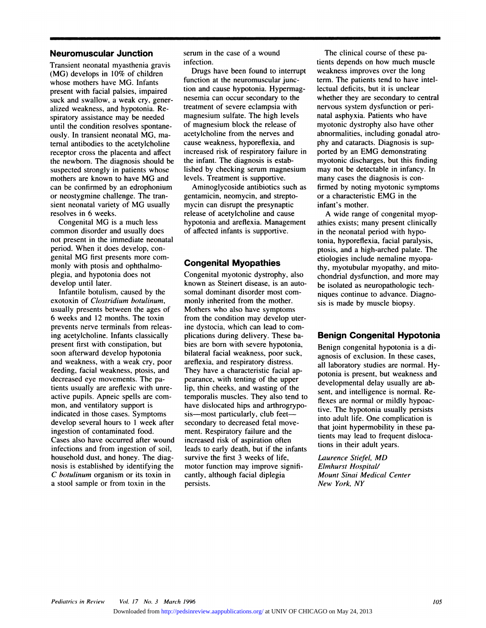**Neuromuscular Junction**<br>Transient neonatal myasthenia gravis **Transient neonatal myasthenia gravis**<br>Transient neonatal myasthenia gravis<br>(MG) develops in 10% of children<br>whose mothers have MG. Infants **Neuromuscular Junction**<br>Transient neonatal myasthenia gravis<br>(MG) develops in 10% of children<br>whose mothers have MG. Infants<br>present with facial palsies, impaired **Transient neonatal myasthenia gravis**<br>(MG) develops in 10% of children<br>whose mothers have MG. Infants<br>present with facial palsies, impaired<br>suck and swallow, a weak cry, gener-Transient neonatal myasthenia gravi<br>(MG) develops in 10% of children<br>whose mothers have MG. Infants<br>present with facial palsies, impaired<br>suck and swallow, a weak cry, gene<br>alized weakness, and hypotonia. Re (MG) develops in 10% of children<br>whose mothers have MG. Infants<br>present with facial palsies, impaired<br>suck and swallow, a weak cry, gener<br>alized weakness, and hypotonia. Re-<br>spiratory assistance may be needed whose mothers have MG. Infants<br>present with facial palsies, impaired<br>suck and swallow, a weak cry, gener-<br>alized weakness, and hypotonia. Re-<br>spiratory assistance may be needed<br>until the condition resolves spontanepresent with facial palsies, impairs<br>suck and swallow, a weak cry, ge<br>alized weakness, and hypotonia. R<br>spiratory assistance may be neede<br>until the condition resolves sponta<br>ously. In transient neonatal MG, r alized weakness, and hypotonia. Respiratory assistance may be needed<br>until the condition resolves spontane-<br>ously. In transient neonatal MG, ma-<br>ternal antibodies to the acetylcholine alized weakness, and hypotonia. Respiratory assistance may be needed<br>until the condition resolves spontane-<br>ously. In transient neonatal MG, ma-<br>ternal antibodies to the acetylcholine<br>receptor cross the placenta and affect spiratory assistance may be needed<br>until the condition resolves spontane-<br>ously. In transient neonatal MG, ma-<br>ternal antibodies to the acetylcholine<br>receptor cross the placenta and affect<br>the newborn. The diagnosis should until the condition resolves spontane-<br>ously. In transient neonatal MG, ma-<br>ternal antibodies to the acetylcholine can<br>receptor cross the placenta and affect inc<br>the newborn. The diagnosis should be the<br>suspected strongly busiy. In transient neonatal MO, ma-<br>ternal antibodies to the acetylcholine<br>receptor cross the placenta and affect<br>the newborn. The diagnosis should be<br>suspected strongly in patients whose<br>mothers are known to have MG and ternal antibodies to the acetylcholine cause weakness, hyporeflexia, and<br>receptor cross the placenta and affect increased risk of respiratory failure<br>the newborn. The diagnosis should be the infant. The diagnosis is estabreceptor cross the placenta and affect<br>the newborn. The diagnosis should be<br>suspected strongly in patients whose<br>instement is an ednophonium<br>can be confirmed by an edrophonium<br>or neostygmine challenge. The tranthe newborn. The diagnosis should<br>suspected strongly in patients whose<br>mothers are known to have MG and<br>can be confirmed by an edrophoniu<br>or neostygmine challenge. The tran-<br>sient neonatal variety of MG usuall suspected strongly in patients whose<br>mothers are known to have MG and<br>can be confirmed by an edrophonium<br>or neostygmine challenge. The tran-<br>sient neonatal variety of MG usually<br>resolves in 6 weeks. mothers are known to<br>can be confirmed by a<br>or neostygmine challe<br>sient neonatal variety<br>resolves in 6 weeks.<br>Congenital MG is a is be confirmed by an edrophonium<br>neostygmine challenge. The tran-<br>int neonatal variety of MG usually<br>olves in 6 weeks.<br>Congenital MG is a much less<br>mmon disorder and usually does

or neostygmine challenge. The tran-<br>sient neonatal variety of MG usually<br>resolves in 6 weeks.<br>Congenital MG is a much less<br>common disorder and usually does<br>not present in the immediate neonatal sient neonatal variety of MG usually<br>resolves in 6 weeks.<br>Congenital MG is a much less<br>common disorder and usually does<br>not present in the immediate neonatal<br>period. When it does develop, conresolves in 6 weeks.<br>Congenital MG is a much less<br>common disorder and usually does<br>not present in the immediate neona<br>period. When it does develop, con-<br>genital MG first presents more con Congenital MG is a much less<br>common disorder and usually does<br>not present in the immediate neonal<br>period. When it does develop, con-<br>genital MG first presents more com<br>monly with ptosis and ophthalmocommon disorder and usually<br>not present in the immediate r<br>period. When it does develop,<br>genital MG first presents more<br>monly with ptosis and ophthal<br>plegia, and hypotonia does no period. When it does develop, congenital MG first presents more com<br>monly with ptosis and ophthalmo-<br>plegia, and hypotonia does not<br>develop until later. genital MG first presents more com-<br>monly with ptosis and ophthalmo-<br>plegia, and hypotonia does not<br>develop until later.<br>Infantile botulism, caused by the<br>exotoxin of *Clostridium botulinum*, inital MG first presents more com-<br>
Solny with ptosis and ophthalmo-<br>
gia, and hypotonia does not<br>
velop until later.<br>
Infantile botulism, caused by the<br>
otoxin of *Clostridium botulinum*,

monly with ptosis and ophthalmo-<br>plegia, and hypotonia does not<br>develop until later.<br>Infantile botulism, caused by the<br>exotoxin of *Clostridium botulinum*,<br>usually presents between the ages o plegia, and hypotonia does not<br>develop until later.<br>Infantile botulism, caused by the<br>exotoxin of *Clostridium botulinum*,<br>usually presents between the ages of<br>6 weeks and 12 months. The toxin develop until later.<br>
Infantile botulism, caused by the<br>
exotoxin of *Clostridium botulinum*,<br>
usually presents between the ages of<br>
6 weeks and 12 months. The toxin<br>
prevents nerve terminals from releas-Infantile botulism, caused by the<br>exotoxin of *Clostridium botulinum*,<br>usually presents between the ages of<br>6 weeks and 12 months. The toxin<br>prevents nerve terminals from relea<br>ing acetylcholine. Infants classicall exotoxin of *Clostridium botulinum*,<br>usually presents between the ages of<br>6 weeks and 12 months. The toxin<br>prevents nerve terminals from releas-<br>ing acetylcholine. Infants classically<br>present first with constipation, but usually presents between the ages of<br>6 weeks and 12 months. The toxin<br>prevents nerve terminals from releas-<br>ing acetylcholine. Infants classically<br>present first with constipation, but<br>soon afterward develop hypotonia 6 weeks and 12 months. The toxin<br>prevents nerve terminals from releas-<br>ing acetylcholine. Infants classically<br>present first with constipation, but<br>soon afterward develop hypotonia<br>and weakness, with a weak cry, poor prevents nerve terminals from releas-<br>ing acetylcholine. Infants classically<br>present first with constipation, but<br>soon afterward develop hypotonia<br>and weakness, with a weak cry, poor<br>feeding, facial weakness, ptosis, and ing acetylcholine. Infants classically<br>present first with constipation, but<br>soon afterward develop hypotonia<br>and weakness, with a weak cry, poor<br>feeding, facial weakness, ptosis, and<br>decreased eye movements. The papresent first with constipation, but<br>soon afterward develop hypotonia<br>and weakness, with a weak cry, poc<br>feeding, facial weakness, ptosis, and<br>decreased eye movements. The pa-<br>tients usually are areflexic with unre soon afterward develop hypotonia<br>and weakness, with a weak cry, poor<br>feeding, facial weakness, ptosis, and<br>decreased eye movements. The pa-<br>tients usually are areflexic with unre<br>active pupils. Apneic spells are com and weakness, with a weak cry, poofeeding, facial weakness, ptosis, and decreased eye movements. The patients usually are areflexic with unre active pupils. Apneic spells are common, and ventilatory support is feeding, facial weakness, ptosis, and<br>decreased eye movements. The pa-<br>tients usually are areflexic with unre<br>active pupils. Apneic spells are com<br>mon, and ventilatory support is<br>indicated in those cases. Symptoms decreased eye movements. The pa-<br>tients usually are areflexic with unre-<br>active pupils. Apneic spells are com-<br>mon, and ventilatory support is<br>indicated in those cases. Symptoms<br>develop several hours to 1 week after tients usually are areflexic with unre-<br>active pupils. Apneic spells are com-<br>mon, and ventilatory support is<br>indicated in those cases. Symptoms<br>develop several hours to 1 week after<br>ingestion of contaminated food. mon, and ventilatory support is<br>indicated in those cases. Symptoms<br>develop several hours to 1 week after<br>ingestion of contaminated food.<br>Cases also have occurred after wound mon, and ventilatory support is<br>indicated in those cases. Symptoms<br>develop several hours to 1 week after<br>ingestion of contaminated food.<br>Cases also have occurred after wound in<br>infections and from ingestion of soil, indicated in those cases. Symptoms<br>develop several hours to 1 week after<br>ingestion of contaminated food.<br>Cases also have occurred after wound<br>infections and from ingestion of soil,<br>household dust, and honey. The diagdevelop several hours to 1 week afte<br>ingestion of contaminated food.<br>Cases also have occurred after woun<br>infections and from ingestion of soil<br>household dust, and honey. The diag<br>nosis is established by identifying th ingestion of contaminated food. m<br>Cases also have occurred after wound<br>infections and from ingestion of soil, lea<br>household dust, and honey. The diag-<br>mosis is established by identifying the<br>*C* botulinum organism or its t Cases also have occurred after wound<br>infections and from ingestion of soil,<br>household dust, and honey. The diag-<br>nosis is established by identifying the<br>*C botulinum* organism or its toxin in<br>a stool sample or from toxin i infections and from ingestion of soil,<br>household dust, and honey. The diag-<br>nosis is established by identifying the<br>*C botulinum* organism or its toxin in<br>a stool sample or from toxin in the

serum in the case of a wound infection.

Drugs have been found to interrupt form in the case of a wound<br>infection.<br>Drugs have been found to interr<br>function at the neuromuscular june<br>tion and cause hypotonia. Hyperm Serum in the case of a wound<br>infection.<br>Drugs have been found to inter<br>function at the neuromuscular jun<br>tion and cause hypotonia. Hypern<br>nesemia can occur secondary to t infection.<br>
Drugs have been found to interrupt<br>
function at the neuromuscular junc-<br>
tion and cause hypotonia. Hypermag-<br>
nesemia can occur secondary to the<br>
treatment of severe eclampsia with Drugs have been found to interrupt<br>function at the neuromuscular junc-<br>tion and cause hypotonia. Hypermag-<br>nesemia can occur secondary to the<br>treatment of severe eclampsia with<br>magnesium sulfate. The high levels mation at the hearomascanal junction and cause hypotonia. Hypermagnesemia can occur secondary to the treatment of severe eclampsia with magnesium sulfate. The high levels of magnesium block the release of acetylcholine fro nesemia can occur secondary to the<br>treatment of severe eclampsia with<br>magnesium sulfate. The high levels<br>of magnesium block the release of<br>acetylcholine from the nerves and<br>cause weakness, hyporeflexia, and treatment of severe eclampsia with<br>magnesium sulfate. The high levels<br>of magnesium block the release of<br>acetylcholine from the nerves and<br>cause weakness, hyporeflexia, and<br>increased risk of respiratory failure in magnesium sulfate. The high levels<br>of magnesium block the release of my<br>acetylcholine from the nerves and abn<br>cause weakness, hyporeflexia, and phy<br>increased risk of respiratory failure in por<br>the infant. The diagnosis is of magnesium block the release<br>acetylcholine from the nerves ar<br>cause weakness, hyporeflexia, at<br>increased risk of respiratory fail<br>the infant. The diagnosis is estal<br>lished by checking serum magno acetylcholine from the nerves and abno<br>cause weakness, hyporeflexia, and phy<br>increased risk of respiratory failure in port<br>the infant. The diagnosis is estab-<br>lished by checking serum magnesium may<br>levels. Treatment is sup cause weakness, hyporeflexia, a<br>increased risk of respiratory fai<br>the infant. The diagnosis is est<br>lished by checking serum mag<br>levels. Treatment is supportive<br>Aminoglycoside antibiotics s reased risk of respiratory failure in<br>
e infant. The diagnosis is estab-<br>
hed by checking serum magnesium<br>
vels. Treatment is supportive.<br>
Aminoglycoside antibiotics such as<br>
fintamicin, neomycin, and strepto-

the infant. The diagnosis is estat<br>lished by checking serum magne<br>levels. Treatment is supportive.<br>Aminoglycoside antibiotics su<br>gentamicin, neomycin, and strep<br>mycin can disrupt the presynapti lished by checking serum magnesius<br>levels. Treatment is supportive.<br>Aminoglycoside antibiotics such a<br>gentamicin, neomycin, and strepto-<br>mycin can disrupt the presynaptic<br>release of acetylcholine and cause levels. Treatment is supportive.<br>Aminoglycoside antibiotics such as<br>gentamicin, neomycin, and strepto-<br>mycin can disrupt the presynaptic<br>release of acetylcholine and cause<br>hypotonia and areflexia. Management Aminoglycoside antibiotics such as<br>gentamicin, neomycin, and strepto-<br>mycin can disrupt the presynaptic<br>release of acetylcholine and cause<br>hypotonia and areflexia. Managemen<br>of affected infants is supportive. mycin can disrupt the presynaptic<br>release of acetylcholine and cause<br>hypotonia and areflexia. Managem<br>of affected infants is supportive. **hypotonia and areflexia. Management of affected infants is supportive.**<br>**Congenital Myopathies** 

Congenital myotonic dystrophy, also **Congenital Myopathies**<br>Congenital myotonic dystrophy, als<br>known as Steinert disease, is an au<br>somal dominant disorder most com<br>monly inherited from the mother. **Congenital myopathies**<br>Congenital myotonic dystrophy, alknown as Steinert disease, is an at<br>somal dominant disorder most con<br>monly inherited from the mother.<br>Mothers who also have symptoms Congenital myotonic dystrophy, also<br>known as Steinert disease, is an auto<br>somal dominant disorder most com-<br>monly inherited from the mother.<br>Mothers who also have symptoms<br>from the condition may develop uter known as Steinert disease, is an auto<br>somal dominant disorder most com-<br>monly inherited from the mother.<br>Mothers who also have symptoms<br>from the condition may develop uter<br>ine dystocia, which can lead to comsomal dominant disorder most com-<br>monly inherited from the mother.<br>Mothers who also have symptoms<br>from the condition may develop ute<br>ine dystocia, which can lead to com<br>plications during delivery. These ba monly inherited from the mother.<br>Mothers who also have symptoms<br>from the condition may develop uter-<br>ine dystocia, which can lead to com-<br>plications during delivery. These ba-<br>bies are born with severe hypotonia, Mothers who also have symptoms<br>from the condition may develop ute<br>ine dystocia, which can lead to com<br>plications during delivery. These ba-<br>bies are born with severe hypotonia,<br>bilateral facial weakness, poor suck, from the condition may develop uter-<br>ine dystocia, which can lead to com-<br>plications during delivery. These ba-<br>bies are born with severe hypotonia,<br>bilateral facial weakness, poor suck,<br>areflexia, and respiratory distress ine dystocia, which can lead to co<br>plications during delivery. These b<br>bies are born with severe hypoton<br>bilateral facial weakness, poor suc<br>areflexia, and respiratory distress.<br>They have a characteristic facial a plications during delivery. These babies are born with severe hypotonia, bilateral facial weakness, poor suck, areflexia, and respiratory distress.<br>They have a characteristic facial appearance, with tenting of the upper bilateral facial weakness, poor suck,<br>areflexia, and respiratory distress.<br>They have a characteristic facial ap-<br>pearance, with tenting of the upper<br>lip, thin cheeks, and wasting of the bilateral facial weakness, poor suck,<br>areflexia, and respiratory distress.<br>They have a characteristic facial ap-<br>pearance, with tenting of the upper<br>lip, thin cheeks, and wasting of the<br>temporalis muscles. They also tend t areflexia, and respiratory distress.<br>They have a characteristic facial appearance, with tenting of the upper<br>lip, thin cheeks, and wasting of the<br>temporalis muscles. They also tend to<br>have dislocated hips and arthrogrypo-They have a characteristic facial<br>pearance, with tenting of the upp<br>lip, thin cheeks, and wasting of t<br>temporalis muscles. They also ten<br>have dislocated hips and arthrogr<br>sis—most particularly, club feet– pearance, with tenting of the upplip, thin cheeks, and wasting of<br>temporalis muscles. They also te<br>have dislocated hips and arthrog<br>sis—most particularly, club feet-<br>secondary to decreased fetal mo lip, thin cheeks, and wasting of t<br>temporalis muscles. They also ten<br>have dislocated hips and arthrogr<br>sis—most particularly, club feet—<br>secondary to decreased fetal mov<br>ment. Respiratory failure and the temporalis muscles. They also tend to<br>have dislocated hips and arthrogrypo-<br>sis—most particularly, club feet—<br>secondary to decreased fetal move-<br>ment. Respiratory failure and the<br>increased risk of aspiration often have dislocated hips and arthrogrypo-<br>sis—most particularly, club feet—<br>secondary to decreased fetal move-<br>ment. Respiratory failure and the<br>increased risk of aspiration often<br>leads to early death, but if the infants sis—most particularly, club feet—<br>secondary to decreased fetal move-<br>ment. Respiratory failure and the<br>increased risk of aspiration often<br>leads to early death, but if the infants<br>survive the first 3 weeks of life, secondary to decreased fetal move<br>ment. Respiratory failure and the<br>increased risk of aspiration often<br>leads to early death, but if the infa<br>survive the first 3 weeks of life,<br>motor function may improve signi ment. Respiratory failure and the<br>increased risk of aspiration often<br>leads to early death, but if the infa<br>survive the first 3 weeks of life,<br>motor function may improve signi<br>cantly, although facial diplegia increased risk of aspiration often<br>leads to early death, but if the infa<br>survive the first 3 weeks of life,<br>motor function may improve signi<br>cantly, although facial diplegia<br>persists. persists.

The clinical course of these pa-<br>
nts depends on how much muscle The clinical course of these pa-<br>tients depends on how much muscle<br>weakness improves over the long The clinical course of these pa-<br>tients depends on how much muscle<br>weakness improves over the long<br>term. The patients tend to have intel-The clinical course of these patients depends on how much muscle<br>weakness improves over the long<br>term. The patients tend to have intel-<br>lectual deficits, but it is unclear The clinical course of these patients depends on how much mus<br>weakness improves over the long<br>term. The patients tend to have in<br>lectual deficits, but it is unclear<br>whether they are secondary to cer weakness improves over the long<br>term. The patients tend to have intel-<br>lectual deficits, but it is unclear<br>whether they are secondary to central<br>nervous system dysfunction or peri-<br>natal asphyxia. Patients who have term. The patients tend to have intelmyotonic dystrophy also have other lectual deficits, but it is unclear<br>whether they are secondary to central<br>nervous system dysfunction or peri-<br>natal asphyxia. Patients who have<br>myotonic dystrophy also have other<br>abnormalities, including gonadal atrowhether they are secondary to central<br>nervous system dysfunction or peri-<br>natal asphyxia. Patients who have<br>myotonic dystrophy also have other<br>abnormalities, including gonadal atro-<br>phy and cataracts. Diagnosis is supnervous system dysfunction or peri-<br>natal asphyxia. Patients who have<br>myotonic dystrophy also have other<br>abnormalities, including gonadal atr<br>phy and cataracts. Diagnosis is sup-<br>ported by an EMG demonstrating natal asphyxia. Patients who have<br>myotonic dystrophy also have other<br>abnormalities, including gonadal atr<br>phy and cataracts. Diagnosis is sup-<br>ported by an EMG demonstrating<br>myotonic discharges, but this findin myotonic dystrophy also have other<br>abnormalities, including gonadal atro-<br>phy and cataracts. Diagnosis is sup-<br>ported by an EMG demonstrating<br>myotonic discharges, but this finding<br>may not be detectable in infancy. In abnormalities, including gonadal atro-<br>phy and cataracts. Diagnosis is sup-<br>ported by an EMG demonstrating<br>myotonic discharges, but this finding<br>may not be detectable in infancy. In<br>many cases the diagnosis is conphy and cataracts. Diagnosis is s<br>ported by an EMG demonstratin<br>myotonic discharges, but this fin<br>may not be detectable in infancy<br>many cases the diagnosis is con-<br>firmed by noting myotonic symp ported by an EMG demonstrating<br>myotonic discharges, but this finding<br>may not be detectable in infancy. In<br>many cases the diagnosis is con-<br>firmed by noting myotonic symptoms<br>or a characteristic EMG in the myotonic discharges, but this findin<br>may not be detectable in infancy. Ir<br>many cases the diagnosis is con-<br>firmed by noting myotonic sympton<br>or a characteristic EMG in the<br>infant's mother. many cases the diagnosis is con-<br>firmed by noting myotonic symptoms<br>or a characteristic EMG in the<br>infant's mother.<br>A wide range of congenital myopabout the diagnosis is con-<br>
A wide range myotonic sympto<br>
a characteristic EMG in the<br>
fant's mother.<br>
A wide range of congenital myoties exists; many present clinical

tonia, hyporeflexia, facial paralysis,<br>
ptosis, and a high-arched palate. The<br>
etiologies include nemaline myopa-<br>
thy, myotubular myopathy, and mito-<br>
Congenital myotonic dystrophy, also<br>
known as Steinert disease, is an firmed by noting myotonic symptoms<br>or a characteristic EMG in the<br>infant's mother.<br>A wide range of congenital myop-<br>athies exists; many present clinically<br>in the neonatal period with hypoor a characteristic EMG in the<br>infant's mother.<br>A wide range of congenital n<br>athies exists; many present clini<br>in the neonatal period with hypo-<br>tonia, hyporeflexia, facial paraly infant's mother.<br>A wide range of congenital myop<br>athies exists; many present clinicall<br>in the neonatal period with hypo-<br>tonia, hyporeflexia, facial paralysis,<br>ptosis, and a high-arched palate. Th A wide range of congenital myop-<br>athies exists; many present clinically<br>in the neonatal period with hypo-<br>tonia, hyporeflexia, facial paralysis,<br>ptosis, and a high-arched palate. The<br>etiologies include nemaline myopain the neonatal period with hypoptosis, and a high-arched palate. The tonia, hyporeflexia, facial paralysis,<br>ptosis, and a high-arched palate. The<br>etiologies include nemaline myopa-<br>thy, myotubular myopathy, and mito-<br>chondrial dysfunction, and more may<br>be isolated as neuropathologic techptosis, and a high-arched palate. The<br>etiologies include nemaline myopa-<br>thy, myotubular myopathy, and mic<br>chondrial dysfunction, and more m<br>be isolated as neuropathologic tech-<br>niques continue to advance. Diagno etiologies include nemaline myop<br>thy, myotubular myopathy, and m<br>chondrial dysfunction, and more i<br>be isolated as neuropathologic tec<br>niques continue to advance. Diag<br>sis is made by muscle biopsy. thy, myotubular myopathy, and<br>chondrial dysfunction, and mor<br>be isolated as neuropathologic<br>niques continue to advance. Di<br>sis is made by muscle biopsy. **Benign Congenital Hypotonia**<br> **Benign Congenital Hypotonia**<br> **Benign Congenital Hypotonia**<br> **Benign congenital hypotonia** is a di-

**Benign Congenital Hypotonia**<br>Benign congenital hypotonia is a di-<br>agnosis of exclusion. In these cases, **Benign Congenital Hypotonia**<br>Benign congenital hypotonia is a diagnosis of exclusion. In these cases,<br>all laboratory studies are normal. Hy-**Benign Congenital Hypotonia**<br>Benign congenital hypotonia is a diagnosis of exclusion. In these cases,<br>all laboratory studies are normal. Hy-<br>potonia is present, but weakness and Benign congenital hypotonia is a di-<br>agnosis of exclusion. In these cases,<br>all laboratory studies are normal. Hy-<br>potonia is present, but weakness and<br>developmental delay usually are absent, and intelligence is normal. Reagnosis of exclusion. In these cases,<br>all laboratory studies are normal. Hy<br>potonia is present, but weakness and<br>developmental delay usually are ab-<br>sent, and intelligence is normal. Re-<br>flexes are normal or mildly hypoacall laboratory studies are normal.<br>potonia is present, but weakness<br>developmental delay usually are<br>sent, and intelligence is normal. I<br>flexes are normal or mildly hypo<br>tive. The hypotonia usually persi potonia is present, but weakness and<br>developmental delay usually are ab-<br>sent, and intelligence is normal. Re-<br>flexes are normal or mildly hypoac-<br>tive. The hypotonia usually persists<br>into adult life. One complication is developmental delay usually are absent, and intelligence is normal. Re-<br>flexes are normal or mildly hypoactive. The hypotonia usually persists<br>into adult life. One complication is<br>that joint hypermobility in these pasent, and intelligence is normal. Re-<br>flexes are normal or mildly hypoac-<br>tive. The hypotonia usually persists<br>into adult life. One complication is<br>that joint hypermobility in these pa-<br>tients may lead to frequent dislocaflexes are normal or mildly hypo<br>tive. The hypotonia usually persi<br>into adult life. One complication<br>that joint hypermobility in these<br>tients may lead to frequent dislo<br>tions in their adult years. tive. The hypotonia usually pe<br>into adult life. One complicatie<br>that joint hypermobility in the<br>tients may lead to frequent dis<br>tions in their adult years.<br>*Laurence Stiefel, MD*<br>*Elmhurst Hospital/* 

*Elmhurst Hospital*<br>*Elmhurst Hospital/*<br>*Elmhurst Hospital/*<br>*Mount Sinai Medica Mount Sinay Island Workgams*<br> *Mount Sinai Medical Center*<br> *Mount Sinai Medical Center*<br> *Mount Sinai Medical Center*<br> *New York, NY Nows* in their adult year.<br>*New <i>Elmhurst Hospital/*<br>*Mount Sinai Medical*<br>*New York, NY*